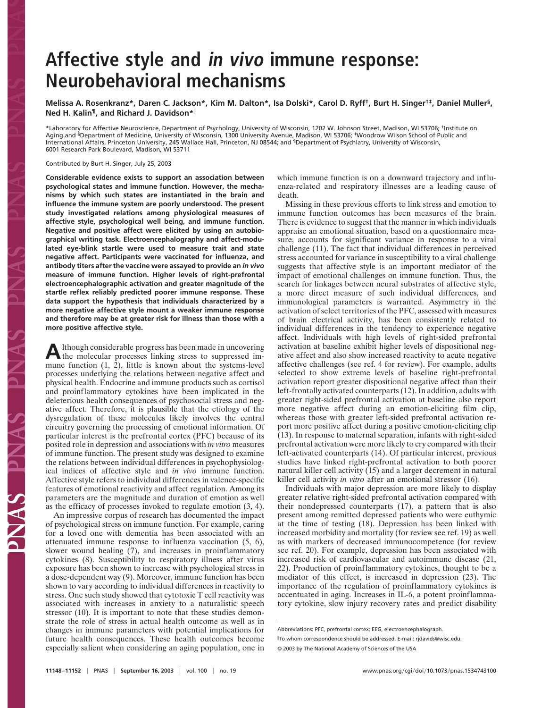## **Affective style and in vivo immune response: Neurobehavioral mechanisms**

**Melissa A. Rosenkranz\*, Daren C. Jackson\*, Kim M. Dalton\*, Isa Dolski\*, Carol D. Ryff†, Burt H. Singer†‡, Daniel Muller§, Ned H. Kalin¶, and Richard J. Davidson\***

\*Laboratory for Affective Neuroscience, Department of Psychology, University of Wisconsin, 1202 W. Johnson Street, Madison, WI 53706; †Institute on Aging and §Department of Medicine, University of Wisconsin, 1300 University Avenue, Madison, WI 53706; ‡Woodrow Wilson School of Public and International Affairs, Princeton University, 245 Wallace Hall, Princeton, NJ 08544; and ¶Department of Psychiatry, University of Wisconsin, 6001 Research Park Boulevard, Madison, WI 53711

Contributed by Burt H. Singer, July 25, 2003

**Considerable evidence exists to support an association between psychological states and immune function. However, the mechanisms by which such states are instantiated in the brain and influence the immune system are poorly understood. The present study investigated relations among physiological measures of affective style, psychological well being, and immune function. Negative and positive affect were elicited by using an autobiographical writing task. Electroencephalography and affect-modulated eye-blink startle were used to measure trait and state negative affect. Participants were vaccinated for influenza, and antibody titers after the vaccine were assayed to provide an** *in vivo* **measure of immune function. Higher levels of right-prefrontal electroencephalographic activation and greater magnitude of the startle reflex reliably predicted poorer immune response. These data support the hypothesis that individuals characterized by a more negative affective style mount a weaker immune response and therefore may be at greater risk for illness than those with a more positive affective style.**

Although considerable progress has been made in uncovering<br>the molecular processes linking stress to suppressed immune function (1, 2), little is known about the systems-level processes underlying the relations between negative affect and physical health. Endocrine and immune products such as cortisol and proinflammatory cytokines have been implicated in the deleterious health consequences of psychosocial stress and negative affect. Therefore, it is plausible that the etiology of the dysregulation of these molecules likely involves the central circuitry governing the processing of emotional information. Of particular interest is the prefrontal cortex (PFC) because of its posited role in depression and associations with *in vitro* measures of immune function. The present study was designed to examine the relations between individual differences in psychophysiological indices of affective style and *in vivo* immune function. Affective style refers to individual differences in valence-specific features of emotional reactivity and affect regulation. Among its parameters are the magnitude and duration of emotion as well as the efficacy of processes invoked to regulate emotion (3, 4).

An impressive corpus of research has documented the impact of psychological stress on immune function. For example, caring for a loved one with dementia has been associated with an attenuated immune response to influenza vaccination (5, 6), slower wound healing  $(7)$ , and increases in proinflammatory cytokines (8). Susceptibility to respiratory illness after virus exposure has been shown to increase with psychological stress in a dose-dependent way (9). Moreover, immune function has been shown to vary according to individual differences in reactivity to stress. One such study showed that cytotoxic T cell reactivity was associated with increases in anxiety to a naturalistic speech stressor (10). It is important to note that these studies demonstrate the role of stress in actual health outcome as well as in changes in immune parameters with potential implications for future health consequences. These health outcomes become especially salient when considering an aging population, one in

which immune function is on a downward trajectory and influenza-related and respiratory illnesses are a leading cause of death.

Missing in these previous efforts to link stress and emotion to immune function outcomes has been measures of the brain. There is evidence to suggest that the manner in which individuals appraise an emotional situation, based on a questionnaire measure, accounts for significant variance in response to a viral challenge (11). The fact that individual differences in perceived stress accounted for variance in susceptibility to a viral challenge suggests that affective style is an important mediator of the impact of emotional challenges on immune function. Thus, the search for linkages between neural substrates of affective style, a more direct measure of such individual differences, and immunological parameters is warranted. Asymmetry in the activation of select territories of the PFC, assessed with measures of brain electrical activity, has been consistently related to individual differences in the tendency to experience negative affect. Individuals with high levels of right-sided prefrontal activation at baseline exhibit higher levels of dispositional negative affect and also show increased reactivity to acute negative affective challenges (see ref. 4 for review). For example, adults selected to show extreme levels of baseline right-prefrontal activation report greater dispositional negative affect than their left-frontally activated counterparts (12). In addition, adults with greater right-sided prefrontal activation at baseline also report more negative affect during an emotion-eliciting film clip, whereas those with greater left-sided prefrontal activation report more positive affect during a positive emotion-eliciting clip (13). In response to maternal separation, infants with right-sided prefrontal activation were more likely to cry compared with their left-activated counterparts (14). Of particular interest, previous studies have linked right-prefrontal activation to both poorer natural killer cell activity (15) and a larger decrement in natural killer cell activity *in vitro* after an emotional stressor (16).

Individuals with major depression are more likely to display greater relative right-sided prefrontal activation compared with their nondepressed counterparts (17), a pattern that is also present among remitted depressed patients who were euthymic at the time of testing (18). Depression has been linked with increased morbidity and mortality (for review see ref. 19) as well as with markers of decreased immunocompetence (for review see ref. 20). For example, depression has been associated with increased risk of cardiovascular and autoimmune disease (21, 22). Production of proinflammatory cytokines, thought to be a mediator of this effect, is increased in depression (23). The importance of the regulation of proinflammatory cytokines is accentuated in aging. Increases in IL-6, a potent proinflammatory cytokine, slow injury recovery rates and predict disability

Abbreviations: PFC, prefrontal cortex; EEG, electroencephalograph.

To whom correspondence should be addressed. E-mail: rjdavids@wisc.edu.

<sup>© 2003</sup> by The National Academy of Sciences of the USA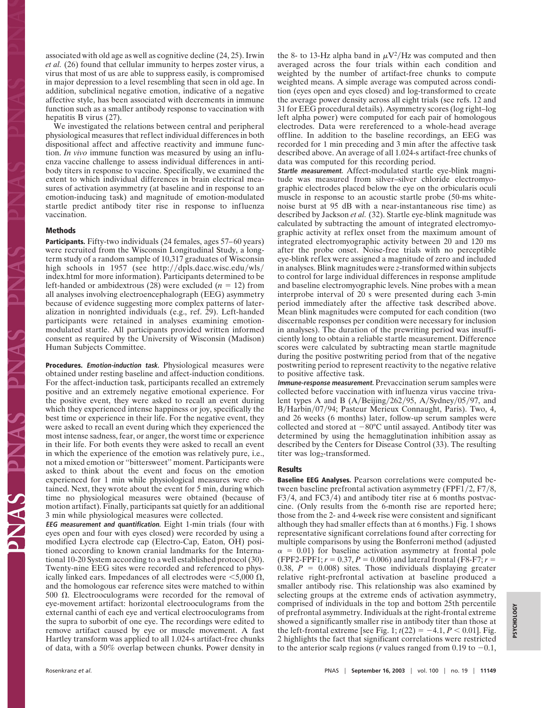associated with old age as well as cognitive decline (24, 25). Irwin *et al.* (26) found that cellular immunity to herpes zoster virus, a virus that most of us are able to suppress easily, is compromised in major depression to a level resembling that seen in old age. In addition, subclinical negative emotion, indicative of a negative affective style, has been associated with decrements in immune function such as a smaller antibody response to vaccination with hepatitis B virus (27).

We investigated the relations between central and peripheral physiological measures that reflect individual differences in both dispositional affect and affective reactivity and immune function. *In vivo* immune function was measured by using an influenza vaccine challenge to assess individual differences in antibody titers in response to vaccine. Specifically, we examined the extent to which individual differences in brain electrical measures of activation asymmetry (at baseline and in response to an emotion-inducing task) and magnitude of emotion-modulated startle predict antibody titer rise in response to influenza vaccination.

## **Methods**

**Participants.** Fifty-two individuals (24 females, ages 57–60 years) were recruited from the Wisconsin Longitudinal Study, a longterm study of a random sample of 10,317 graduates of Wisconsin high schools in 1957 (see http://dpls.dacc.wisc.edu/wls/ index.html for more information). Participants determined to be left-handed or ambidextrous (28) were excluded  $(n = 12)$  from all analyses involving electroencephalograph (EEG) asymmetry because of evidence suggesting more complex patterns of lateralization in nonrighted individuals (e.g., ref. 29). Left-handed participants were retained in analyses examining emotionmodulated startle. All participants provided written informed consent as required by the University of Wisconsin (Madison) Human Subjects Committee.

**Procedures. Emotion-induction task.** Physiological measures were obtained under resting baseline and affect-induction conditions. For the affect-induction task, participants recalled an extremely positive and an extremely negative emotional experience. For the positive event, they were asked to recall an event during which they experienced intense happiness or joy, specifically the best time or experience in their life. For the negative event, they were asked to recall an event during which they experienced the most intense sadness, fear, or anger, the worst time or experience in their life. For both events they were asked to recall an event in which the experience of the emotion was relatively pure, i.e., not a mixed emotion or ''bittersweet'' moment. Participants were asked to think about the event and focus on the emotion experienced for 1 min while physiological measures were obtained. Next, they wrote about the event for 5 min, during which time no physiological measures were obtained (because of motion artifact). Finally, participants sat quietly for an additional 3 min while physiological measures were collected.

**EEG measurement and quantification.** Eight 1-min trials (four with eyes open and four with eyes closed) were recorded by using a modified Lycra electrode cap (Electro-Cap, Eaton, OH) positioned according to known cranial landmarks for the International 10-20 System according to a well established protocol (30). Twenty-nine EEG sites were recorded and referenced to physically linked ears. Impedances of all electrodes were  $\leq 5,000 \Omega$ , and the homologous ear reference sites were matched to within 500  $\Omega$ . Electrooculograms were recorded for the removal of eye-movement artifact: horizontal electrooculograms from the external canthi of each eye and vertical electrooculograms from the supra to suborbit of one eye. The recordings were edited to remove artifact caused by eye or muscle movement. A fast Hartley transform was applied to all 1.024-s artifact-free chunks of data, with a 50% overlap between chunks. Power density in the 8- to 13-Hz alpha band in  $\mu$ V<sup>2</sup>/Hz was computed and then averaged across the four trials within each condition and weighted by the number of artifact-free chunks to compute weighted means. A simple average was computed across condition (eyes open and eyes closed) and log-transformed to create the average power density across all eight trials (see refs. 12 and 31 for EEG procedural details). Asymmetry scores (log right–log left alpha power) were computed for each pair of homologous electrodes. Data were rereferenced to a whole-head average offline. In addition to the baseline recordings, an EEG was recorded for 1 min preceding and 3 min after the affective task described above. An average of all 1.024-s artifact-free chunks of data was computed for this recording period.

**Startle measurement.** Affect-modulated startle eye-blink magnitude was measured from silver–silver chloride electromyographic electrodes placed below the eye on the orbicularis oculi muscle in response to an acoustic startle probe (50-ms whitenoise burst at 95 dB with a near-instantaneous rise time) as described by Jackson *et al.* (32). Startle eye-blink magnitude was calculated by subtracting the amount of integrated electromyographic activity at reflex onset from the maximum amount of integrated electromyographic activity between 20 and 120 ms after the probe onset. Noise-free trials with no perceptible eye-blink reflex were assigned a magnitude of zero and included in analyses. Blink magnitudes were *z*-transformed within subjects to control for large individual differences in response amplitude and baseline electromyographic levels. Nine probes with a mean interprobe interval of 20 s were presented during each 3-min period immediately after the affective task described above. Mean blink magnitudes were computed for each condition (two discernable responses per condition were necessary for inclusion in analyses). The duration of the prewriting period was insufficiently long to obtain a reliable startle measurement. Difference scores were calculated by subtracting mean startle magnitude during the positive postwriting period from that of the negative postwriting period to represent reactivity to the negative relative to positive affective task.

**Immune-response measurement.** Prevaccination serum samples were collected before vaccination with influenza virus vaccine trivalent types A and B  $(A/Beijing/262/95, A/Sydney/05/97, and$ B/Harbin/07/94; Pasteur Merieux Connaught, Paris). Two, 4, and 26 weeks (6 months) later, follow-up serum samples were collected and stored at  $-80^{\circ}$ C until assayed. Antibody titer was determined by using the hemagglutination inhibition assay as described by the Centers for Disease Control (33). The resulting titer was log<sub>2</sub>-transformed.

## **Results**

**Baseline EEG Analyses.** Pearson correlations were computed between baseline prefrontal activation asymmetry  $(FPF1/2, F7/8,$  $F3/4$ , and  $FC3/4$ ) and antibody titer rise at 6 months postvaccine. (Only results from the 6-month rise are reported here; those from the 2- and 4-week rise were consistent and significant although they had smaller effects than at 6 months.) Fig. 1 shows representative significant correlations found after correcting for multiple comparisons by using the Bonferroni method (adjusted  $\alpha$  = 0.01) for baseline activation asymmetry at frontal pole  $(FPF2-FPF1; r = 0.37, P = 0.006)$  and lateral frontal (F8-F7; *r* = 0.38,  $P = 0.008$ ) sites. Those individuals displaying greater relative right-prefrontal activation at baseline produced a smaller antibody rise. This relationship was also examined by selecting groups at the extreme ends of activation asymmetry, comprised of individuals in the top and bottom 25th percentile of prefrontal asymmetry. Individuals at the right-frontal extreme showed a significantly smaller rise in antibody titer than those at the left-frontal extreme [see Fig. 1;  $t(22) = -4.1, P < 0.01$ ]. Fig. 2 highlights the fact that significant correlations were restricted to the anterior scalp regions (*r* values ranged from 0.19 to  $-0.1$ ,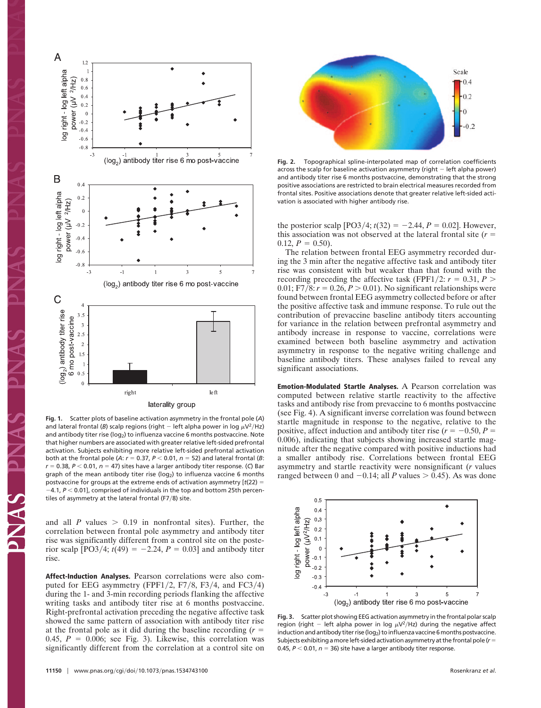

**Fig. 1.** Scatter plots of baseline activation asymmetry in the frontal pole (*A*) and lateral frontal (*B*) scalp regions (right  $-$  left alpha power in log  $\mu$ V<sup>2</sup>/Hz) and antibody titer rise (log<sub>2</sub>) to influenza vaccine 6 months postvaccine. Note that higher numbers are associated with greater relative left-sided prefrontal activation. Subjects exhibiting more relative left-sided prefrontal activation both at the frontal pole (A:  $r = 0.37$ ,  $P < 0.01$ ,  $n = 52$ ) and lateral frontal (B:  $r = 0.38$ ,  $P < 0.01$ ,  $n = 47$ ) sites have a larger antibody titer response. (C) Bar graph of the mean antibody titer rise (log<sub>2</sub>) to influenza vaccine 6 months postvaccine for groups at the extreme ends of activation asymmetry [*t*(22)  $-4.1$ ,  $P < 0.01$ ], comprised of individuals in the top and bottom 25th percentiles of asymmetry at the lateral frontal (F7/8) site.

and all *P* values  $> 0.19$  in nonfrontal sites). Further, the correlation between frontal pole asymmetry and antibody titer rise was significantly different from a control site on the posterior scalp  $[PO3/4; t(49) = -2.24, P = 0.03]$  and antibody titer rise.

**Affect-Induction Analyses.** Pearson correlations were also computed for EEG asymmetry (FPF1/2, F7/8, F3/4, and FC3/4) during the 1- and 3-min recording periods flanking the affective writing tasks and antibody titer rise at 6 months postvaccine. Right-prefrontal activation preceding the negative affective task showed the same pattern of association with antibody titer rise at the frontal pole as it did during the baseline recording (*r* 0.45,  $P = 0.006$ ; see Fig. 3). Likewise, this correlation was significantly different from the correlation at a control site on



**Fig. 2.** Topographical spline-interpolated map of correlation coefficients across the scalp for baseline activation asymmetry (right  $-$  left alpha power) and antibody titer rise 6 months postvaccine, demonstrating that the strong positive associations are restricted to brain electrical measures recorded from frontal sites. Positive associations denote that greater relative left-sided activation is associated with higher antibody rise.

the posterior scalp  $[PO3/4; t(32) = -2.44, P = 0.02]$ . However, this association was not observed at the lateral frontal site  $(r =$  $0.12, P = 0.50$ .

The relation between frontal EEG asymmetry recorded during the 3 min after the negative affective task and antibody titer rise was consistent with but weaker than that found with the recording preceding the affective task (FPF1/2:  $r = 0.31, P >$ 0.01; F7/8:  $r = 0.26$ ,  $P > 0.01$ ). No significant relationships were found between frontal EEG asymmetry collected before or after the positive affective task and immune response. To rule out the contribution of prevaccine baseline antibody titers accounting for variance in the relation between prefrontal asymmetry and antibody increase in response to vaccine, correlations were examined between both baseline asymmetry and activation asymmetry in response to the negative writing challenge and baseline antibody titers. These analyses failed to reveal any significant associations.

**Emotion-Modulated Startle Analyses.** A Pearson correlation was computed between relative startle reactivity to the affective tasks and antibody rise from prevaccine to 6 months postvaccine (see Fig. 4). A significant inverse correlation was found between startle magnitude in response to the negative, relative to the positive, affect induction and antibody titer rise  $(r = -0.50, P =$ 0.006), indicating that subjects showing increased startle magnitude after the negative compared with positive inductions had a smaller antibody rise. Correlations between frontal EEG asymmetry and startle reactivity were nonsignificant (*r* values ranged between 0 and  $-0.14$ ; all *P* values  $> 0.45$ ). As was done



**Fig. 3.** Scatter plot showing EEG activation asymmetry in the frontal polar scalp region (right - left alpha power in log  $\mu$ V<sup>2</sup>/Hz) during the negative affect induction and antibody titer rise (log<sub>2</sub>) to influenza vaccine 6 months postvaccine. Subjects exhibiting a more left-sided activation asymmetry at the frontal pole ( $r =$ 0.45,  $P < 0.01$ ,  $n = 36$ ) site have a larger antibody titer response.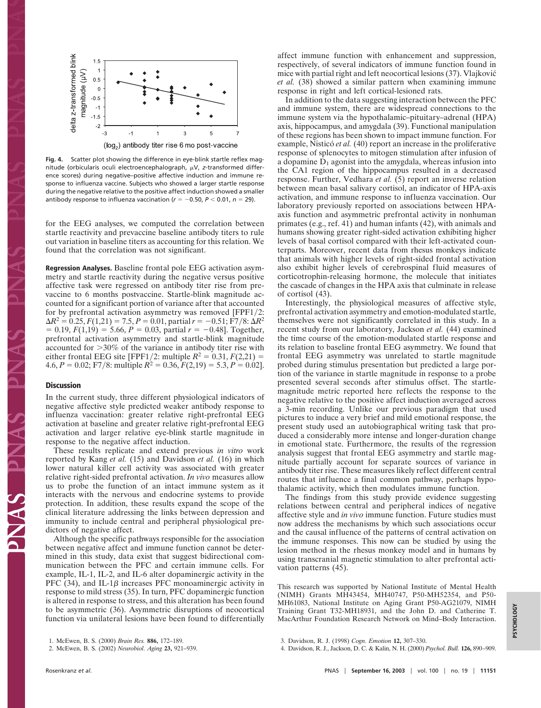

**Fig. 4.** Scatter plot showing the difference in eye-blink startle reflex magnitude (orbicularis oculi electroencephalograph,  $\mu$ V, z-transformed difference scores) during negative–positive affective induction and immune response to influenza vaccine. Subjects who showed a larger startle response during the negative relative to the positive affect induction showed a smaller antibody response to influenza vaccination ( $r = -0.50$ ,  $P < 0.01$ ,  $n = 29$ ).

for the EEG analyses, we computed the correlation between startle reactivity and prevaccine baseline antibody titers to rule out variation in baseline titers as accounting for this relation. We found that the correlation was not significant.

**Regression Analyses.** Baseline frontal pole EEG activation asymmetry and startle reactivity during the negative versus positive affective task were regressed on antibody titer rise from prevaccine to 6 months postvaccine. Startle-blink magnitude accounted for a significant portion of variance after that accounted for by prefrontal activation asymmetry was removed [FPF1/2:  $\Delta R^2 = 0.25, F(1,21) = 7.5, P = 0.01,$  partial  $r = -0.51$ ; F7/8:  $\Delta R^2$  $= 0.19, F(1,19) = 5.66, P = 0.03,$  partial  $r = -0.48$ ]. Together, prefrontal activation asymmetry and startle-blink magnitude accounted for 30% of the variance in antibody titer rise with either frontal EEG site [FPF1/2: multiple  $R^2 = 0.31, F(2,21) =$ 4.6,  $P = 0.02$ ; F7/8: multiple  $R^2 = 0.36$ ,  $F(2,19) = 5.3$ ,  $P = 0.02$ .

## **Discussion**

In the current study, three different physiological indicators of negative affective style predicted weaker antibody response to influenza vaccination: greater relative right-prefrontal EEG activation at baseline and greater relative right-prefrontal EEG activation and larger relative eye-blink startle magnitude in response to the negative affect induction.

These results replicate and extend previous *in vitro* work reported by Kang *et al.* (15) and Davidson *et al.* (16) in which lower natural killer cell activity was associated with greater relative right-sided prefrontal activation. *In vivo* measures allow us to probe the function of an intact immune system as it interacts with the nervous and endocrine systems to provide protection. In addition, these results expand the scope of the clinical literature addressing the links between depression and immunity to include central and peripheral physiological predictors of negative affect.

Although the specific pathways responsible for the association between negative affect and immune function cannot be determined in this study, data exist that suggest bidirectional communication between the PFC and certain immune cells. For example, IL-1, IL-2, and IL-6 alter dopaminergic activity in the PFC  $(34)$ , and IL-1 $\beta$  increases PFC monoaminergic activity in response to mild stress (35). In turn, PFC dopaminergic function is altered in response to stress, and this alteration has been found to be asymmetric (36). Asymmetric disruptions of neocortical function via unilateral lesions have been found to differentially

affect immune function with enhancement and suppression, respectively, of several indicators of immune function found in mice with partial right and left neocortical lesions (37). Vlajkovic´ *et al.* (38) showed a similar pattern when examining immune response in right and left cortical-lesioned rats.

In addition to the data suggesting interaction between the PFC and immune system, there are widespread connections to the immune system via the hypothalamic–pituitary–adrenal (HPA) axis, hippocampus, and amygdala (39). Functional manipulation of these regions has been shown to impact immune function. For example, Nisticó *et al.* (40) report an increase in the proliferative response of splenocytes to mitogen stimulation after infusion of a dopamine  $D_1$  agonist into the amygdala, whereas infusion into the CA1 region of the hippocampus resulted in a decreased response. Further, Vedhara *et al.* (5) report an inverse relation between mean basal salivary cortisol, an indicator of HPA-axis activation, and immune response to influenza vaccination. Our laboratory previously reported on associations between HPAaxis function and asymmetric prefrontal activity in nonhuman primates (e.g., ref. 41) and human infants (42), with animals and humans showing greater right-sided activation exhibiting higher levels of basal cortisol compared with their left-activated counterparts. Moreover, recent data from rhesus monkeys indicate that animals with higher levels of right-sided frontal activation also exhibit higher levels of cerebrospinal fluid measures of corticotrophin-releasing hormone, the molecule that initiates the cascade of changes in the HPA axis that culminate in release of cortisol (43).

Interestingly, the physiological measures of affective style, prefrontal activation asymmetry and emotion-modulated startle, themselves were not significantly correlated in this study. In a recent study from our laboratory, Jackson *et al.* (44) examined the time course of the emotion-modulated startle response and its relation to baseline frontal EEG asymmetry. We found that frontal EEG asymmetry was unrelated to startle magnitude probed during stimulus presentation but predicted a large portion of the variance in startle magnitude in response to a probe presented several seconds after stimulus offset. The startlemagnitude metric reported here reflects the response to the negative relative to the positive affect induction averaged across a 3-min recording. Unlike our previous paradigm that used pictures to induce a very brief and mild emotional response, the present study used an autobiographical writing task that produced a considerably more intense and longer-duration change in emotional state. Furthermore, the results of the regression analysis suggest that frontal EEG asymmetry and startle magnitude partially account for separate sources of variance in antibody titer rise. These measures likely reflect different central routes that influence a final common pathway, perhaps hypothalamic activity, which then modulates immune function.

The findings from this study provide evidence suggesting relations between central and peripheral indices of negative affective style and *in vivo* immune function. Future studies must now address the mechanisms by which such associations occur and the causal influence of the patterns of central activation on the immune responses. This now can be studied by using the lesion method in the rhesus monkey model and in humans by using transcranial magnetic stimulation to alter prefrontal activation patterns (45).

This research was supported by National Institute of Mental Health (NIMH) Grants MH43454, MH40747, P50-MH52354, and P50- MH61083, National Institute on Aging Grant P50-AG21079, NIMH Training Grant T32-MH18931, and the John D. and Catherine T. MacArthur Foundation Research Network on Mind–Body Interaction.

- 3. Davidson, R. J. (1998) *Cogn. Emotion* **12,** 307–330.
- 4. Davidson, R. J., Jackson, D. C. & Kalin, N. H. (2000) *Psychol. Bull.* **126,** 890–909.

<sup>1.</sup> McEwen, B. S. (2000) *Brain Res.* **886,** 172–189.

<sup>2.</sup> McEwen, B. S. (2002) *Neurobiol. Aging* **23,** 921–939.